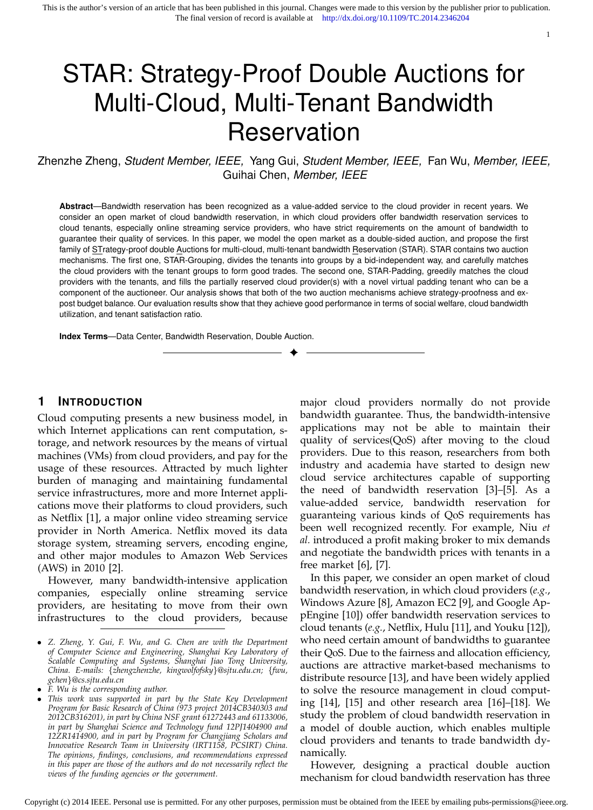# STAR: Strategy-Proof Double Auctions for Multi-Cloud, Multi-Tenant Bandwidth **Reservation**

Zhenzhe Zheng, *Student Member, IEEE,* Yang Gui, *Student Member, IEEE,* Fan Wu, *Member, IEEE,* Guihai Chen, *Member, IEEE*

**Abstract**—Bandwidth reservation has been recognized as a value-added service to the cloud provider in recent years. We consider an open market of cloud bandwidth reservation, in which cloud providers offer bandwidth reservation services to cloud tenants, especially online streaming service providers, who have strict requirements on the amount of bandwidth to guarantee their quality of services. In this paper, we model the open market as a double-sided auction, and propose the first family of STrategy-proof double Auctions for multi-cloud, multi-tenant bandwidth Reservation (STAR). STAR contains two auction mechanisms. The first one, STAR-Grouping, divides the tenants into groups by a bid-independent way, and carefully matches the cloud providers with the tenant groups to form good trades. The second one, STAR-Padding, greedily matches the cloud providers with the tenants, and fills the partially reserved cloud provider(s) with a novel virtual padding tenant who can be a component of the auctioneer. Our analysis shows that both of the two auction mechanisms achieve strategy-proofness and expost budget balance. Our evaluation results show that they achieve good performance in terms of social welfare, cloud bandwidth utilization, and tenant satisfaction ratio.

✦

**Index Terms**—Data Center, Bandwidth Reservation, Double Auction.

## **1 INTRODUCTION**

Cloud computing presents a new business model, in which Internet applications can rent computation, storage, and network resources by the means of virtual machines (VMs) from cloud providers, and pay for the usage of these resources. Attracted by much lighter burden of managing and maintaining fundamental service infrastructures, more and more Internet applications move their platforms to cloud providers, such as Netflix [1], a major online video streaming service provider in North America. Netflix moved its data storage system, streaming servers, encoding engine, and other major modules to Amazon Web Services (AWS) in 2010 [2].

However, many bandwidth-intensive application companies, especially online streaming service providers, are hesitating to move from their own infrastructures to the cloud providers, because

major cloud providers normally do not provide bandwidth guarantee. Thus, the bandwidth-intensive applications may not be able to maintain their quality of services(QoS) after moving to the cloud providers. Due to this reason, researchers from both industry and academia have started to design new cloud service architectures capable of supporting the need of bandwidth reservation [3]–[5]. As a value-added service, bandwidth reservation for guaranteing various kinds of QoS requirements has been well recognized recently. For example, Niu *et al.* introduced a profit making broker to mix demands and negotiate the bandwidth prices with tenants in a free market [6], [7].

1

In this paper, we consider an open market of cloud bandwidth reservation, in which cloud providers (*e.g.*, Windows Azure [8], Amazon EC2 [9], and Google AppEngine [10]) offer bandwidth reservation services to cloud tenants (*e.g.*, Netflix, Hulu [11], and Youku [12]), who need certain amount of bandwidths to guarantee their QoS. Due to the fairness and allocation efficiency, auctions are attractive market-based mechanisms to distribute resource [13], and have been widely applied to solve the resource management in cloud computing [14], [15] and other research area [16]–[18]. We study the problem of cloud bandwidth reservation in a model of double auction, which enables multiple cloud providers and tenants to trade bandwidth dynamically.

However, designing a practical double auction mechanism for cloud bandwidth reservation has three

<sup>•</sup> *Z. Zheng, Y. Gui, F. Wu, and G. Chen are with the Department of Computer Science and Engineering, Shanghai Key Laboratory of Scalable Computing and Systems, Shanghai Jiao Tong University, China. E-mails:* {*zhengzhenzhe, kingwolfofsky*}*@sjtu.edu.cn;* {*fwu, gchen*}*@cs.sjtu.edu.cn*

<sup>•</sup> *F. Wu is the corresponding author.*

<sup>•</sup> *This work was supported in part by the State Key Development Program for Basic Research of China (973 project 2014CB340303 and 2012CB316201), in part by China NSF grant 61272443 and 61133006, in part by Shanghai Science and Technology fund 12PJ1404900 and 12ZR1414900, and in part by Program for Changjiang Scholars and Innovative Research Team in University (IRT1158, PCSIRT) China. The opinions, findings, conclusions, and recommendations expressed in this paper are those of the authors and do not necessarily reflect the views of the funding agencies or the government.*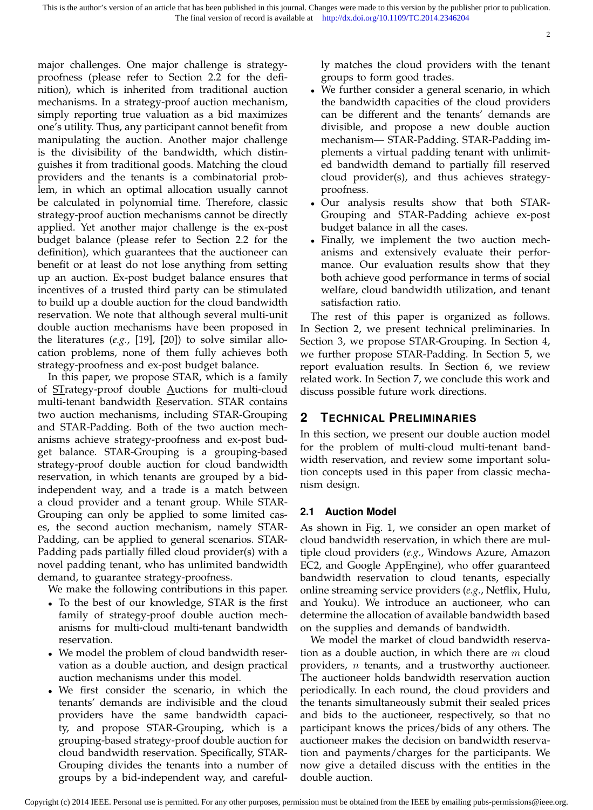major challenges. One major challenge is strategyproofness (please refer to Section 2.2 for the definition), which is inherited from traditional auction mechanisms. In a strategy-proof auction mechanism, simply reporting true valuation as a bid maximizes one's utility. Thus, any participant cannot benefit from manipulating the auction. Another major challenge is the divisibility of the bandwidth, which distinguishes it from traditional goods. Matching the cloud providers and the tenants is a combinatorial problem, in which an optimal allocation usually cannot be calculated in polynomial time. Therefore, classic strategy-proof auction mechanisms cannot be directly applied. Yet another major challenge is the ex-post budget balance (please refer to Section 2.2 for the definition), which guarantees that the auctioneer can benefit or at least do not lose anything from setting up an auction. Ex-post budget balance ensures that incentives of a trusted third party can be stimulated to build up a double auction for the cloud bandwidth reservation. We note that although several multi-unit double auction mechanisms have been proposed in the literatures (*e.g.*, [19], [20]) to solve similar allocation problems, none of them fully achieves both strategy-proofness and ex-post budget balance.

In this paper, we propose STAR, which is a family of STrategy-proof double Auctions for multi-cloud multi-tenant bandwidth Reservation. STAR contains two auction mechanisms, including STAR-Grouping and STAR-Padding. Both of the two auction mechanisms achieve strategy-proofness and ex-post budget balance. STAR-Grouping is a grouping-based strategy-proof double auction for cloud bandwidth reservation, in which tenants are grouped by a bidindependent way, and a trade is a match between a cloud provider and a tenant group. While STAR-Grouping can only be applied to some limited cases, the second auction mechanism, namely STAR-Padding, can be applied to general scenarios. STAR-Padding pads partially filled cloud provider(s) with a novel padding tenant, who has unlimited bandwidth demand, to guarantee strategy-proofness.

We make the following contributions in this paper.

- To the best of our knowledge, STAR is the first family of strategy-proof double auction mechanisms for multi-cloud multi-tenant bandwidth reservation.
- We model the problem of cloud bandwidth reservation as a double auction, and design practical auction mechanisms under this model.
- We first consider the scenario, in which the tenants' demands are indivisible and the cloud providers have the same bandwidth capacity, and propose STAR-Grouping, which is a grouping-based strategy-proof double auction for cloud bandwidth reservation. Specifically, STAR-Grouping divides the tenants into a number of groups by a bid-independent way, and careful-

ly matches the cloud providers with the tenant groups to form good trades.

- We further consider a general scenario, in which the bandwidth capacities of the cloud providers can be different and the tenants' demands are divisible, and propose a new double auction mechanism— STAR-Padding. STAR-Padding implements a virtual padding tenant with unlimited bandwidth demand to partially fill reserved cloud provider(s), and thus achieves strategyproofness.
- Our analysis results show that both STAR-Grouping and STAR-Padding achieve ex-post budget balance in all the cases.
- Finally, we implement the two auction mechanisms and extensively evaluate their performance. Our evaluation results show that they both achieve good performance in terms of social welfare, cloud bandwidth utilization, and tenant satisfaction ratio.

The rest of this paper is organized as follows. In Section 2, we present technical preliminaries. In Section 3, we propose STAR-Grouping. In Section 4, we further propose STAR-Padding. In Section 5, we report evaluation results. In Section 6, we review related work. In Section 7, we conclude this work and discuss possible future work directions.

# **2 TECHNICAL PRELIMINARIES**

In this section, we present our double auction model for the problem of multi-cloud multi-tenant bandwidth reservation, and review some important solution concepts used in this paper from classic mechanism design.

# **2.1 Auction Model**

As shown in Fig. 1, we consider an open market of cloud bandwidth reservation, in which there are multiple cloud providers (*e.g.*, Windows Azure, Amazon EC2, and Google AppEngine), who offer guaranteed bandwidth reservation to cloud tenants, especially online streaming service providers (*e.g.*, Netflix, Hulu, and Youku). We introduce an auctioneer, who can determine the allocation of available bandwidth based on the supplies and demands of bandwidth.

We model the market of cloud bandwidth reservation as a double auction, in which there are  $m$  cloud providers,  $n$  tenants, and a trustworthy auctioneer. The auctioneer holds bandwidth reservation auction periodically. In each round, the cloud providers and the tenants simultaneously submit their sealed prices and bids to the auctioneer, respectively, so that no participant knows the prices/bids of any others. The auctioneer makes the decision on bandwidth reservation and payments/charges for the participants. We now give a detailed discuss with the entities in the double auction.

Copyright (c) 2014 IEEE. Personal use is permitted. For any other purposes, permission must be obtained from the IEEE by emailing pubs-permissions@ieee.org.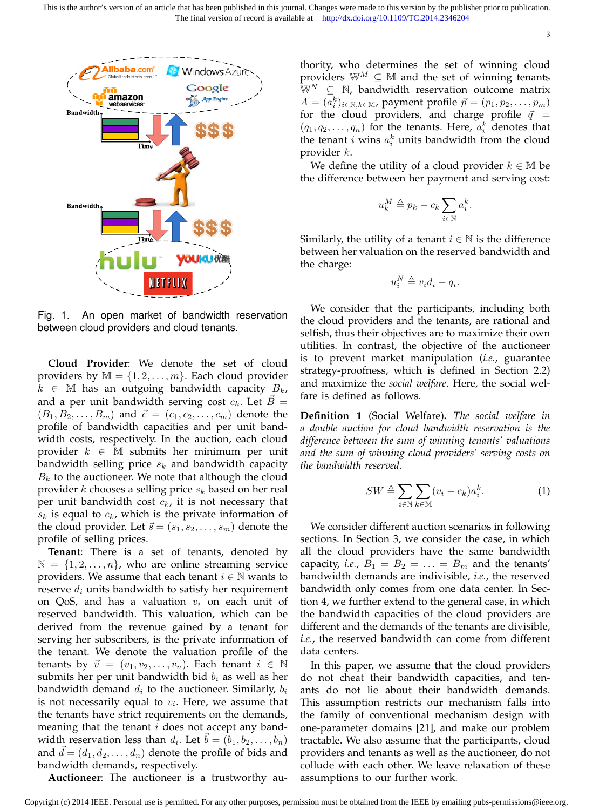

Fig. 1. An open market of bandwidth reservation between cloud providers and cloud tenants.

**Cloud Provider**: We denote the set of cloud providers by  $\mathbb{M} = \{1, 2, \dots, m\}$ . Each cloud provider  $k \in \mathbb{M}$  has an outgoing bandwidth capacity  $B_k$ , and a per unit bandwidth serving cost  $c_k$ . Let  $B=$  $(B_1, B_2, \ldots, B_m)$  and  $\vec{c} = (c_1, c_2, \ldots, c_m)$  denote the profile of bandwidth capacities and per unit bandwidth costs, respectively. In the auction, each cloud provider  $k \in \mathbb{M}$  submits her minimum per unit bandwidth selling price  $s_k$  and bandwidth capacity  $B_k$  to the auctioneer. We note that although the cloud provider  $k$  chooses a selling price  $s_k$  based on her real per unit bandwidth cost  $c_k$ , it is not necessary that  $s_k$  is equal to  $c_k$ , which is the private information of the cloud provider. Let  $\vec{s} = (s_1, s_2, \dots, s_m)$  denote the profile of selling prices.

**Tenant**: There is a set of tenants, denoted by  $\mathbb{N} = \{1, 2, \ldots, n\}$ , who are online streaming service providers. We assume that each tenant  $i \in \mathbb{N}$  wants to reserve  $d_i$  units bandwidth to satisfy her requirement on QoS, and has a valuation  $v_i$  on each unit of reserved bandwidth. This valuation, which can be derived from the revenue gained by a tenant for serving her subscribers, is the private information of the tenant. We denote the valuation profile of the tenants by  $\vec{v} = (v_1, v_2, \dots, v_n)$ . Each tenant  $i \in \mathbb{N}$ submits her per unit bandwidth bid  $b_i$  as well as her bandwidth demand  $d_i$  to the auctioneer. Similarly,  $b_i$ is not necessarily equal to  $v_i$ . Here, we assume that the tenants have strict requirements on the demands, meaning that the tenant  $i$  does not accept any bandwidth reservation less than  $d_i$ . Let  $\vec{b} = (\vec{b}_1, \vec{b}_2, \dots, \vec{b}_n)$ and  $d = (d_1, d_2, \ldots, d_n)$  denote the profile of bids and bandwidth demands, respectively.

**Auctioneer**: The auctioneer is a trustworthy au-

thority, who determines the set of winning cloud providers  $\mathbb{W}^M \subseteq \mathbb{M}$  and the set of winning tenants  $\mathbb{W}^N \subseteq \mathbb{N}$ , bandwidth reservation outcome matrix  $A = (a_i^k)_{i \in \mathbb{N}, k \in \mathbb{M}}$ , payment profile  $\vec{p} = (p_1, p_2, \dots, p_m)$ for the cloud providers, and charge profile  $\vec{q}$  =  $(q_1, q_2, \ldots, q_n)$  for the tenants. Here,  $a_i^k$  denotes that the tenant *i* wins  $a_i^k$  units bandwidth from the cloud provider k.

We define the utility of a cloud provider  $k \in \mathbb{M}$  be the difference between her payment and serving cost:

$$
u_k^M \triangleq p_k - c_k \sum_{i \in \mathbb{N}} a_i^k.
$$

Similarly, the utility of a tenant  $i \in \mathbb{N}$  is the difference between her valuation on the reserved bandwidth and the charge:

$$
u_i^N \triangleq v_i d_i - q_i.
$$

We consider that the participants, including both the cloud providers and the tenants, are rational and selfish, thus their objectives are to maximize their own utilities. In contrast, the objective of the auctioneer is to prevent market manipulation (*i.e.*, guarantee strategy-proofness, which is defined in Section 2.2) and maximize the *social welfare*. Here, the social welfare is defined as follows.

**Definition 1** (Social Welfare)**.** *The social welfare in a double auction for cloud bandwidth reservation is the difference between the sum of winning tenants' valuations and the sum of winning cloud providers' serving costs on the bandwidth reserved.*

$$
SW \triangleq \sum_{i \in \mathbb{N}} \sum_{k \in \mathbb{M}} (v_i - c_k) a_i^k.
$$
 (1)

We consider different auction scenarios in following sections. In Section 3, we consider the case, in which all the cloud providers have the same bandwidth capacity, *i.e.*,  $B_1 = B_2 = \ldots = B_m$  and the tenants' bandwidth demands are indivisible, *i.e.*, the reserved bandwidth only comes from one data center. In Section 4, we further extend to the general case, in which the bandwidth capacities of the cloud providers are different and the demands of the tenants are divisible, *i.e.*, the reserved bandwidth can come from different data centers.

In this paper, we assume that the cloud providers do not cheat their bandwidth capacities, and tenants do not lie about their bandwidth demands. This assumption restricts our mechanism falls into the family of conventional mechanism design with one-parameter domains [21], and make our problem tractable. We also assume that the participants, cloud providers and tenants as well as the auctioneer, do not collude with each other. We leave relaxation of these assumptions to our further work.

Copyright (c) 2014 IEEE. Personal use is permitted. For any other purposes, permission must be obtained from the IEEE by emailing pubs-permissions@ieee.org.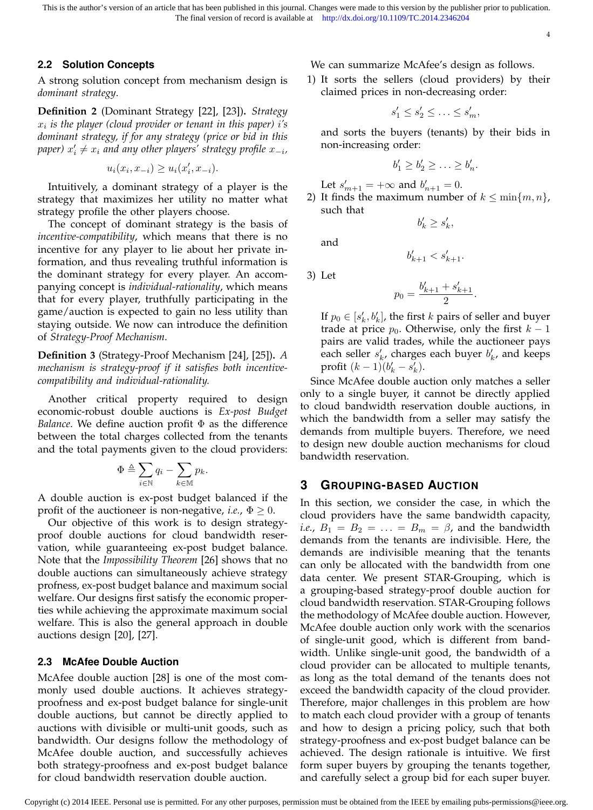This is the author's version of an article that has been published in this journal. Changes were made to this version by the publisher prior to publication. The final version of record is available at http://dx.doi.org/10.1109/TC.2014.2346204

4

# **2.2 Solution Concepts**

A strong solution concept from mechanism design is *dominant strategy*.

**Definition 2** (Dominant Strategy [22], [23])**.** *Strategy* xi *is the player (cloud provider or tenant in this paper)* i*'s dominant strategy, if for any strategy (price or bid in this*  $p$ aper)  $x'_i \neq x_i$  and any other players' strategy profile  $x_{-i}$ ,

$$
u_i(x_i, x_{-i}) \ge u_i(x'_i, x_{-i}).
$$

Intuitively, a dominant strategy of a player is the strategy that maximizes her utility no matter what strategy profile the other players choose.

The concept of dominant strategy is the basis of *incentive-compatibility*, which means that there is no incentive for any player to lie about her private information, and thus revealing truthful information is the dominant strategy for every player. An accompanying concept is *individual-rationality*, which means that for every player, truthfully participating in the game/auction is expected to gain no less utility than staying outside. We now can introduce the definition of *Strategy-Proof Mechanism*.

**Definition 3** (Strategy-Proof Mechanism [24], [25])**.** *A mechanism is strategy-proof if it satisfies both incentivecompatibility and individual-rationality.*

Another critical property required to design economic-robust double auctions is *Ex-post Budget Balance*. We define auction profit Φ as the difference between the total charges collected from the tenants and the total payments given to the cloud providers:

$$
\Phi \triangleq \sum_{i \in \mathbb{N}} q_i - \sum_{k \in \mathbb{M}} p_k.
$$

A double auction is ex-post budget balanced if the profit of the auctioneer is non-negative, *i.e.*,  $\Phi \geq 0$ .

Our objective of this work is to design strategyproof double auctions for cloud bandwidth reservation, while guaranteeing ex-post budget balance. Note that the *Impossibility Theorem* [26] shows that no double auctions can simultaneously achieve strategy profness, ex-post budget balance and maximum social welfare. Our designs first satisfy the economic properties while achieving the approximate maximum social welfare. This is also the general approach in double auctions design [20], [27].

# **2.3 McAfee Double Auction**

McAfee double auction [28] is one of the most commonly used double auctions. It achieves strategyproofness and ex-post budget balance for single-unit double auctions, but cannot be directly applied to auctions with divisible or multi-unit goods, such as bandwidth. Our designs follow the methodology of McAfee double auction, and successfully achieves both strategy-proofness and ex-post budget balance for cloud bandwidth reservation double auction.

We can summarize McAfee's design as follows.

1) It sorts the sellers (cloud providers) by their claimed prices in non-decreasing order:

$$
s_1' \leq s_2' \leq \ldots \leq s_m',
$$

and sorts the buyers (tenants) by their bids in non-increasing order:

$$
b'_1 \ge b'_2 \ge \ldots \ge b'_n.
$$

Let 
$$
s'_{m+1} = +\infty
$$
 and  $b'_{n+1} = 0$ .  
2) It finds the maximum number of  $k < \min$ .

2) It finds the maximum number of  $k \le \min\{m, n\}$ , such that  $b'_k \geq s'_k,$ 

and

3) Let

$$
p_0 = \frac{b'_{k+1} + s'_{k+1}}{2}.
$$

 $b'_{k+1} < s'_{k+1}.$ 

If  $p_0 \in [s'_k, b'_k]$ , the first k pairs of seller and buyer trade at price  $p_0$ . Otherwise, only the first  $k-1$ pairs are valid trades, while the auctioneer pays each seller  $s'_k$ , charges each buyer  $b'_k$ , and keeps profit  $(k - 1)(b'_k - s'_k)$ .

Since McAfee double auction only matches a seller only to a single buyer, it cannot be directly applied to cloud bandwidth reservation double auctions, in which the bandwidth from a seller may satisfy the demands from multiple buyers. Therefore, we need to design new double auction mechanisms for cloud bandwidth reservation.

## **3 GROUPING-BASED AUCTION**

In this section, we consider the case, in which the cloud providers have the same bandwidth capacity, *i.e.*,  $B_1 = B_2 = \ldots = B_m = \beta$ , and the bandwidth demands from the tenants are indivisible. Here, the demands are indivisible meaning that the tenants can only be allocated with the bandwidth from one data center. We present STAR-Grouping, which is a grouping-based strategy-proof double auction for cloud bandwidth reservation. STAR-Grouping follows the methodology of McAfee double auction. However, McAfee double auction only work with the scenarios of single-unit good, which is different from bandwidth. Unlike single-unit good, the bandwidth of a cloud provider can be allocated to multiple tenants, as long as the total demand of the tenants does not exceed the bandwidth capacity of the cloud provider. Therefore, major challenges in this problem are how to match each cloud provider with a group of tenants and how to design a pricing policy, such that both strategy-proofness and ex-post budget balance can be achieved. The design rationale is intuitive. We first form super buyers by grouping the tenants together, and carefully select a group bid for each super buyer.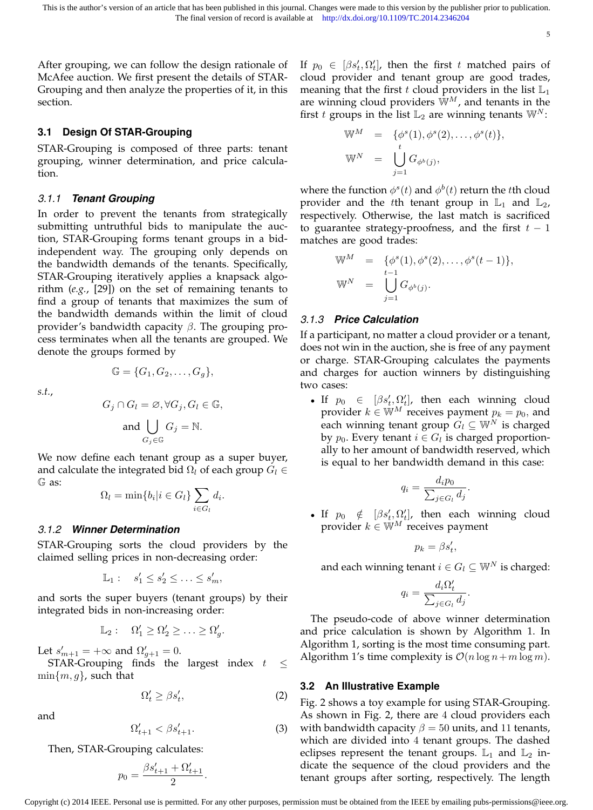After grouping, we can follow the design rationale of McAfee auction. We first present the details of STAR-Grouping and then analyze the properties of it, in this section.

## **3.1 Design Of STAR-Grouping**

STAR-Grouping is composed of three parts: tenant grouping, winner determination, and price calculation.

#### *3.1.1 Tenant Grouping*

In order to prevent the tenants from strategically submitting untruthful bids to manipulate the auction, STAR-Grouping forms tenant groups in a bidindependent way. The grouping only depends on the bandwidth demands of the tenants. Specifically, STAR-Grouping iteratively applies a knapsack algorithm (*e.g.*, [29]) on the set of remaining tenants to find a group of tenants that maximizes the sum of the bandwidth demands within the limit of cloud provider's bandwidth capacity  $β$ . The grouping process terminates when all the tenants are grouped. We denote the groups formed by

*s.t.*,

$$
G_j \cap G_l = \emptyset, \forall G_j, G_l \in \mathbb{G},
$$
  
and 
$$
\bigcup_{G_j \in \mathbb{G}} G_j = \mathbb{N}.
$$

 $\mathbb{G} = \{G_1, G_2, \ldots, G_q\},\,$ 

We now define each tenant group as a super buyer, and calculate the integrated bid  $\Omega_l$  of each group  $G_l \in$ G as:

$$
\Omega_l = \min\{b_i | i \in G_l\} \sum_{i \in G_l} d_i.
$$

#### *3.1.2 Winner Determination*

STAR-Grouping sorts the cloud providers by the claimed selling prices in non-decreasing order:

 $\mathbb{L}_1: s'_1 \leq s'_2 \leq \ldots \leq s'_m,$ 

and sorts the super buyers (tenant groups) by their integrated bids in non-increasing order:

$$
\mathbb{L}_2: \quad \Omega'_1 \ge \Omega'_2 \ge \ldots \ge \Omega'_g.
$$

Let  $s'_{m+1} = +\infty$  and  $\Omega'_{g+1} = 0$ .

STAR-Grouping finds the largest index  $t \leq$  $\min\{m, g\}$ , such that

$$
\Omega'_t \ge \beta s'_t,\tag{2}
$$

and

$$
\Omega'_{t+1} < \beta s'_{t+1}.\tag{3}
$$

Then, STAR-Grouping calculates:

$$
p_0 = \frac{\beta s'_{t+1} + \Omega'_{t+1}}{2}.
$$

If  $p_0 \in [\beta s_t', \Omega_t']$ , then the first t matched pairs of cloud provider and tenant group are good trades, meaning that the first t cloud providers in the list  $\mathbb{L}_1$ are winning cloud providers  $\mathbb{W}^M$ , and tenants in the first t groups in the list  $\mathbb{L}_2$  are winning tenants  $\mathbb{W}^N$ :

$$
\mathbb{W}^M = \{ \phi^s(1), \phi^s(2), \dots, \phi^s(t) \},
$$
  

$$
\mathbb{W}^N = \bigcup_{j=1}^t G_{\phi^b(j)},
$$

where the function  $\phi^s(t)$  and  $\phi^b(t)$  return the tth cloud provider and the tth tenant group in  $\mathbb{L}_1$  and  $\mathbb{L}_2$ , respectively. Otherwise, the last match is sacrificed to guarantee strategy-proofness, and the first  $t-1$ matches are good trades:

$$
\mathbb{W}^{M} = \{ \phi^{s}(1), \phi^{s}(2), \dots, \phi^{s}(t-1) \}, \n\mathbb{W}^{N} = \bigcup_{j=1}^{t-1} G_{\phi^{b}(j)}.
$$

#### *3.1.3 Price Calculation*

If a participant, no matter a cloud provider or a tenant, does not win in the auction, she is free of any payment or charge. STAR-Grouping calculates the payments and charges for auction winners by distinguishing two cases:

• If  $p_0 \in [\beta s'_t, \Omega'_t]$ , then each winning cloud provider  $k \in \mathbb{W}^M$  receives payment  $p_k = p_0$ , and each winning tenant group  $G_l \subseteq \mathbb{W}^N$  is charged by  $p_0$ . Every tenant  $i \in G_l$  is charged proportionally to her amount of bandwidth reserved, which is equal to her bandwidth demand in this case:

$$
q_i = \frac{d_i p_0}{\sum_{j \in G_l} d_j}.
$$

• If  $p_0 \notin [\beta s_t', \Omega_t']$ , then each winning cloud provider  $k \in \mathbb{W}^M$  receives payment

$$
p_k = \beta s_t',
$$

and each winning tenant  $i \in G_l \subseteq \mathbb{W}^N$  is charged:

$$
q_i = \frac{d_i \Omega'_t}{\sum_{j \in G_l} d_j}.
$$

The pseudo-code of above winner determination and price calculation is shown by Algorithm 1. In Algorithm 1, sorting is the most time consuming part. Algorithm 1's time complexity is  $O(n \log n + m \log m)$ .

#### **3.2 An Illustrative Example**

Fig. 2 shows a toy example for using STAR-Grouping. As shown in Fig. 2, there are 4 cloud providers each with bandwidth capacity  $\beta = 50$  units, and 11 tenants, which are divided into 4 tenant groups. The dashed eclipses represent the tenant groups.  $\mathbb{L}_1$  and  $\mathbb{L}_2$  indicate the sequence of the cloud providers and the tenant groups after sorting, respectively. The length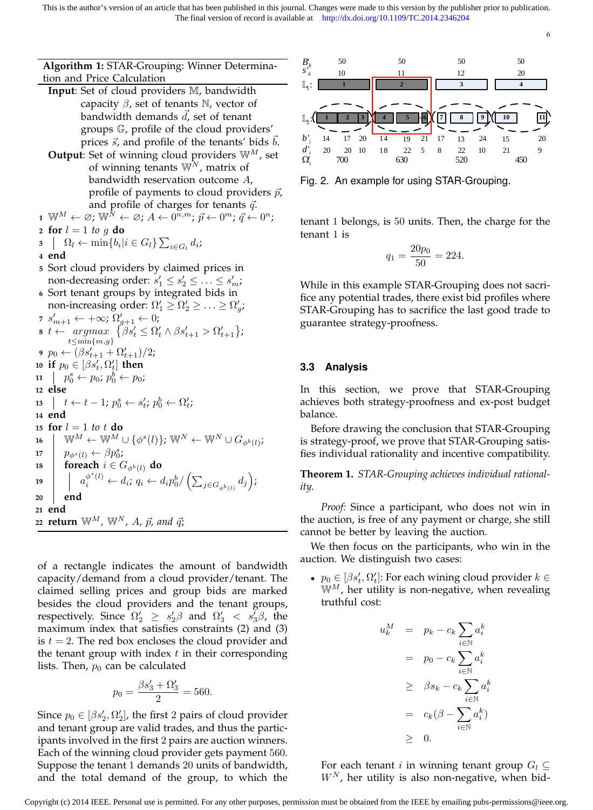**Algorithm 1:** STAR-Grouping: Winner Determination and Price Calculation **Input**: Set of cloud providers M, bandwidth capacity  $\beta$ , set of tenants N, vector of bandwidth demands  $\vec{d}$ , set of tenant groups G, profile of the cloud providers' prices  $\vec{s}$ , and profile of the tenants' bids  $\vec{b}$ . **Output:** Set of winning cloud providers  $W^M$ , set of winning tenants  $\mathbb{W}^N$ , matrix of bandwidth reservation outcome A, profile of payments to cloud providers  $\vec{p}$ , and profile of charges for tenants  $\vec{q}$ .  $\mathbf{1} \ \ \mathbb{W}^M \leftarrow \varnothing; \ \mathbb{W}^{\tilde{N}} \leftarrow \varnothing; A \leftarrow 0^{\widetilde{n},m}; \, \vec{p} \leftarrow 0^m; \, \vec{q} \leftarrow 0^n;$ **2 for**  $l = 1$  *to*  $g$  **do 3**  $\bigcap$   $\Omega$ <sub>l</sub>  $\leftarrow$  min $\{b_i | i \in G_l\} \sum_{i \in G_l} d_i$ ; **4 end <sup>5</sup>** Sort cloud providers by claimed prices in non-decreasing order:  $s'_1 \leq s'_2 \leq \ldots \leq s'_m$ ; **<sup>6</sup>** Sort tenant groups by integrated bids in non-increasing order:  $\Omega'_1 \geq \Omega'_2 \geq \ldots \geq \Omega'_g$ ; 7  $s'_{m+1} \leftarrow +\infty; \Omega'_{g+1} \leftarrow 0;$ **8**  $t \leftarrow argmax \{ \beta s_t' \leq \Omega_t' \wedge \beta s_{t+1}' > \Omega_{t+1}' \};$  $t \leq min\{m,g\}$ **9**  $p_0 \leftarrow (\beta s'_{t+1} + \Omega'_{t+1})/2;$  $\mathbf{10}$  **if**  $p_0 \in [\beta s_t', \Omega_t']$  **then 11**  $p_0^s \leftarrow p_0; p_0^b \leftarrow p_0;$ **<sup>12</sup> else 13**  $\left| \quad t \leftarrow t-1; \ p_{0}^{s} \leftarrow s_{t}^{\prime}; \ p_{0}^{b} \leftarrow \Omega_{t}^{\prime};$ **<sup>14</sup> end 15 for**  $l = 1$  *to*  $t$  **do**  $\mathbf{16} \quad | \quad \mathbb{W}^M \leftarrow \mathbb{W}^M \cup \{ \phi^s (l) \} \text{;} \ \mathbb{W}^N \leftarrow \mathbb{W}^N \cup G_{\phi^b (l)} \text{;}$ **17**  $p_{\phi^s(l)} \leftarrow \beta p_0^s;$ **18 foreach**  $i \in G_{\phi^b(l)}$  **do 19**  $a_i^{\phi^s(l)} \leftarrow d_i; q_i \leftarrow d_i p_0^b / \left( \sum_{j \in G_{\phi^b(l)}} d_j \right);$ **<sup>20</sup> end <sup>21</sup> end 22 <b>return**  $\mathbb{W}^M$ ,  $\mathbb{W}^N$ , A,  $\vec{p}$ , and  $\vec{q}$ ;

of a rectangle indicates the amount of bandwidth capacity/demand from a cloud provider/tenant. The claimed selling prices and group bids are marked besides the cloud providers and the tenant groups, respectively. Since  $\Omega'_2$   $\geq$   $s'_2\beta$  and  $\Omega'_3$   $\lt$   $s'_3\beta$ , the maximum index that satisfies constraints (2) and (3) is  $t = 2$ . The red box encloses the cloud provider and the tenant group with index  $t$  in their corresponding lists. Then,  $p_0$  can be calculated

$$
p_0 = \frac{\beta s_3' + \Omega_3'}{2} = 560.
$$

Since  $p_0 \in [\beta s_2', \Omega_2']$ , the first 2 pairs of cloud provider and tenant group are valid trades, and thus the participants involved in the first 2 pairs are auction winners. Each of the winning cloud provider gets payment 560. Suppose the tenant 1 demands 20 units of bandwidth, and the total demand of the group, to which the



Fig. 2. An example for using STAR-Grouping.

tenant 1 belongs, is 50 units. Then, the charge for the tenant 1 is

$$
q_1 = \frac{20p_0}{50} = 224.
$$

While in this example STAR-Grouping does not sacrifice any potential trades, there exist bid profiles where STAR-Grouping has to sacrifice the last good trade to guarantee strategy-proofness.

## **3.3 Analysis**

In this section, we prove that STAR-Grouping achieves both strategy-proofness and ex-post budget balance.

Before drawing the conclusion that STAR-Grouping is strategy-proof, we prove that STAR-Grouping satisfies individual rationality and incentive compatibility.

**Theorem 1.** *STAR-Grouping achieves individual rationality.*

*Proof:* Since a participant, who does not win in the auction, is free of any payment or charge, she still cannot be better by leaving the auction.

We then focus on the participants, who win in the auction. We distinguish two cases:

•  $p_0 \in [\beta s_t', \Omega_t']$ : For each wining cloud provider  $k \in$  $\mathbb{W}^M$ , her utility is non-negative, when revealing truthful cost:

$$
u_k^M = p_k - c_k \sum_{i \in \mathbb{N}} a_i^k
$$
  
=  $p_0 - c_k \sum_{i \in \mathbb{N}} a_i^k$   

$$
\geq \beta s_k - c_k \sum_{i \in \mathbb{N}} a_i^k
$$
  
=  $c_k(\beta - \sum_{i \in \mathbb{N}} a_i^k)$   

$$
\geq 0.
$$

For each tenant *i* in winning tenant group  $G_l \subseteq$  $W<sup>N</sup>$ , her utility is also non-negative, when bid-

6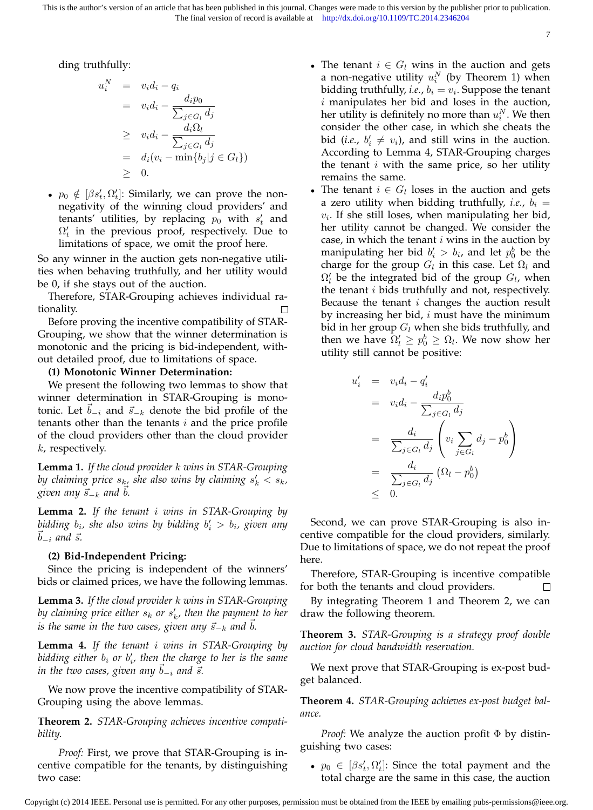ding truthfully:

$$
u_i^N = v_i d_i - q_i
$$
  
=  $v_i d_i - \frac{d_i p_0}{\sum_{j \in G_l} d_j}$   
 $\geq v_i d_i - \frac{d_i \Omega_l}{\sum_{j \in G_l} d_j}$   
=  $d_i (v_i - \min\{b_j | j \in G_l\})$   
 $\geq 0.$ 

•  $p_0 \notin [\beta s_t', \Omega_t']$ : Similarly, we can prove the nonnegativity of the winning cloud providers' and tenants' utilities, by replacing  $p_0$  with  $s'_t$  and  $\Omega'_t$  in the previous proof, respectively. Due to limitations of space, we omit the proof here.

So any winner in the auction gets non-negative utilities when behaving truthfully, and her utility would be 0, if she stays out of the auction.

Therefore, STAR-Grouping achieves individual rationality.

Before proving the incentive compatibility of STAR-Grouping, we show that the winner determination is monotonic and the pricing is bid-independent, without detailed proof, due to limitations of space.

#### **(1) Monotonic Winner Determination:**

We present the following two lemmas to show that winner determination in STAR-Grouping is monotonic. Let  $\vec{b}_{-i}$  and  $\vec{s}_{-k}$  denote the bid profile of the tenants other than the tenants  $i$  and the price profile of the cloud providers other than the cloud provider k, respectively.

**Lemma 1.** *If the cloud provider* k *wins in STAR-Grouping* by claiming price  $s_{k_1}$  she also wins by claiming  $s'_k < s_k$ , *given any*  $\vec{s}_{-k}$  *and b.* 

**Lemma 2.** *If the tenant* i *wins in STAR-Grouping by* bidding  $b_i$ , she also wins by bidding  $b'_i > b_i$ , given any  $b_{-i}$  and  $\vec{s}$ .

#### **(2) Bid-Independent Pricing:**

Since the pricing is independent of the winners' bids or claimed prices, we have the following lemmas.

**Lemma 3.** *If the cloud provider* k *wins in STAR-Grouping* by claiming price either  $s_k$  or  $s'_k$ , then the payment to her *is the same in the two cases, given any*  $\vec{s}_{-k}$  *and b*.

**Lemma 4.** *If the tenant* i *wins in STAR-Grouping by* bidding either  $b_i$  or  $b'_i$ , then the charge to her is the same *in the two cases, given any*  $b_{-i}$  *and*  $\vec{s}$ *.* 

We now prove the incentive compatibility of STAR-Grouping using the above lemmas.

**Theorem 2.** *STAR-Grouping achieves incentive compatibility.*

*Proof:* First, we prove that STAR-Grouping is incentive compatible for the tenants, by distinguishing two case:

• The tenant  $i \in G_l$  wins in the auction and gets a non-negative utility  $u_i^N$  (by Theorem 1) when bidding truthfully, *i.e.,*  $b_i = v_i$ . Suppose the tenant  $i$  manipulates her bid and loses in the auction, her utility is definitely no more than  $u_i^N.$  We then consider the other case, in which she cheats the bid (*i.e.*,  $b'_i \neq v_i$ ), and still wins in the auction. According to Lemma 4, STAR-Grouping charges the tenant  $i$  with the same price, so her utility remains the same.

7

• The tenant  $i \in G_l$  loses in the auction and gets a zero utility when bidding truthfully, *i.e.*,  $b_i =$  $v_i$ . If she still loses, when manipulating her bid, her utility cannot be changed. We consider the case, in which the tenant  $i$  wins in the auction by manipulating her bid  $b_i' > b_i$ , and let  $p_0^b$  be the charge for the group  $G_l$  in this case. Let  $\Omega_l$  and  $\Omega'_l$  be the integrated bid of the group  $G_l$ , when the tenant  $i$  bids truthfully and not, respectively. Because the tenant  $i$  changes the auction result by increasing her bid,  $i$  must have the minimum bid in her group  $G_l$  when she bids truthfully, and then we have  $\Omega'_l \geq p_0^b \geq \Omega_l$ . We now show her utility still cannot be positive:

$$
u'_{i} = v_{i}d_{i} - q'_{i}
$$
  
\n
$$
= v_{i}d_{i} - \frac{d_{i}p_{0}^{b}}{\sum_{j \in G_{i}} d_{j}}
$$
  
\n
$$
= \frac{d_{i}}{\sum_{j \in G_{i}} d_{j}} \left( v_{i} \sum_{j \in G_{i}} d_{j} - p_{0}^{b} \right)
$$
  
\n
$$
= \frac{d_{i}}{\sum_{j \in G_{i}} d_{j}} (\Omega_{l} - p_{0}^{b})
$$
  
\n
$$
\leq 0.
$$

Second, we can prove STAR-Grouping is also incentive compatible for the cloud providers, similarly. Due to limitations of space, we do not repeat the proof here.

Therefore, STAR-Grouping is incentive compatible for both the tenants and cloud providers.  $\Box$ 

By integrating Theorem 1 and Theorem 2, we can draw the following theorem.

**Theorem 3.** *STAR-Grouping is a strategy proof double auction for cloud bandwidth reservation.*

We next prove that STAR-Grouping is ex-post budget balanced.

**Theorem 4.** *STAR-Grouping achieves ex-post budget balance.*

*Proof:* We analyze the auction profit Φ by distinguishing two cases:

•  $p_0 \in [\beta s_t', \Omega_t']$ : Since the total payment and the total charge are the same in this case, the auction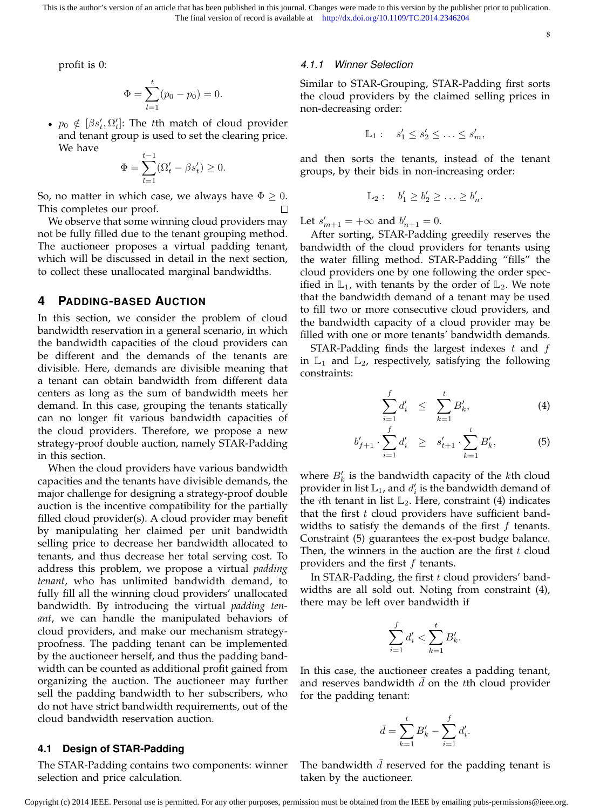profit is 0:

$$
\Phi = \sum_{l=1}^{t} (p_0 - p_0) = 0.
$$

•  $p_0 \notin [\beta s_t', \Omega_t']$ : The tth match of cloud provider and tenant group is used to set the clearing price. We have

$$
\Phi = \sum_{l=1}^{t-1} (\Omega'_t - \beta s'_t) \ge 0.
$$

So, no matter in which case, we always have  $\Phi \geq 0$ . This completes our proof.

We observe that some winning cloud providers may not be fully filled due to the tenant grouping method. The auctioneer proposes a virtual padding tenant, which will be discussed in detail in the next section, to collect these unallocated marginal bandwidths.

#### **4 PADDING-BASED AUCTION**

In this section, we consider the problem of cloud bandwidth reservation in a general scenario, in which the bandwidth capacities of the cloud providers can be different and the demands of the tenants are divisible. Here, demands are divisible meaning that a tenant can obtain bandwidth from different data centers as long as the sum of bandwidth meets her demand. In this case, grouping the tenants statically can no longer fit various bandwidth capacities of the cloud providers. Therefore, we propose a new strategy-proof double auction, namely STAR-Padding in this section.

When the cloud providers have various bandwidth capacities and the tenants have divisible demands, the major challenge for designing a strategy-proof double auction is the incentive compatibility for the partially filled cloud provider(s). A cloud provider may benefit by manipulating her claimed per unit bandwidth selling price to decrease her bandwidth allocated to tenants, and thus decrease her total serving cost. To address this problem, we propose a virtual *padding tenant*, who has unlimited bandwidth demand, to fully fill all the winning cloud providers' unallocated bandwidth. By introducing the virtual *padding tenant*, we can handle the manipulated behaviors of cloud providers, and make our mechanism strategyproofness. The padding tenant can be implemented by the auctioneer herself, and thus the padding bandwidth can be counted as additional profit gained from organizing the auction. The auctioneer may further sell the padding bandwidth to her subscribers, who do not have strict bandwidth requirements, out of the cloud bandwidth reservation auction.

#### **4.1 Design of STAR-Padding**

The STAR-Padding contains two components: winner selection and price calculation.

#### *4.1.1 Winner Selection*

Similar to STAR-Grouping, STAR-Padding first sorts the cloud providers by the claimed selling prices in non-decreasing order:

$$
\mathbb{L}_1: \quad s_1' \leq s_2' \leq \ldots \leq s_m',
$$

and then sorts the tenants, instead of the tenant groups, by their bids in non-increasing order:

$$
\mathbb{L}_2: b'_1 \geq b'_2 \geq \ldots \geq b'_n.
$$

Let  $s'_{m+1} = +\infty$  and  $b'_{n+1} = 0$ .

After sorting, STAR-Padding greedily reserves the bandwidth of the cloud providers for tenants using the water filling method. STAR-Padding "fills" the cloud providers one by one following the order specified in  $\mathbb{L}_1$ , with tenants by the order of  $\mathbb{L}_2$ . We note that the bandwidth demand of a tenant may be used to fill two or more consecutive cloud providers, and the bandwidth capacity of a cloud provider may be filled with one or more tenants' bandwidth demands.

STAR-Padding finds the largest indexes  $t$  and  $f$ in  $\mathbb{L}_1$  and  $\mathbb{L}_2$ , respectively, satisfying the following constraints:

$$
\sum_{i=1}^{f} d'_i \leq \sum_{k=1}^{t} B'_k, \tag{4}
$$

$$
b'_{f+1} \cdot \sum_{i=1}^{f} d'_{i} \quad \geq \quad s'_{t+1} \cdot \sum_{k=1}^{t} B'_{k}, \tag{5}
$$

where  $B'_k$  is the bandwidth capacity of the kth cloud provider in list  $\mathbb{L}_1$ , and  $d'_i$  is the bandwidth demand of the *i*th tenant in list  $\mathbb{L}_2$ . Here, constraint (4) indicates that the first  $t$  cloud providers have sufficient bandwidths to satisfy the demands of the first  $f$  tenants. Constraint (5) guarantees the ex-post budge balance. Then, the winners in the auction are the first  $t$  cloud providers and the first  $f$  tenants.

In STAR-Padding, the first t cloud providers' bandwidths are all sold out. Noting from constraint (4), there may be left over bandwidth if

$$
\sum_{i=1}^{f} d'_{i} < \sum_{k=1}^{t} B'_{k}.
$$

In this case, the auctioneer creates a padding tenant, and reserves bandwidth  $d$  on the tth cloud provider for the padding tenant:

$$
\bar{d} = \sum_{k=1}^{t} B'_k - \sum_{i=1}^{f} d'_i.
$$

The bandwidth  $d$  reserved for the padding tenant is taken by the auctioneer.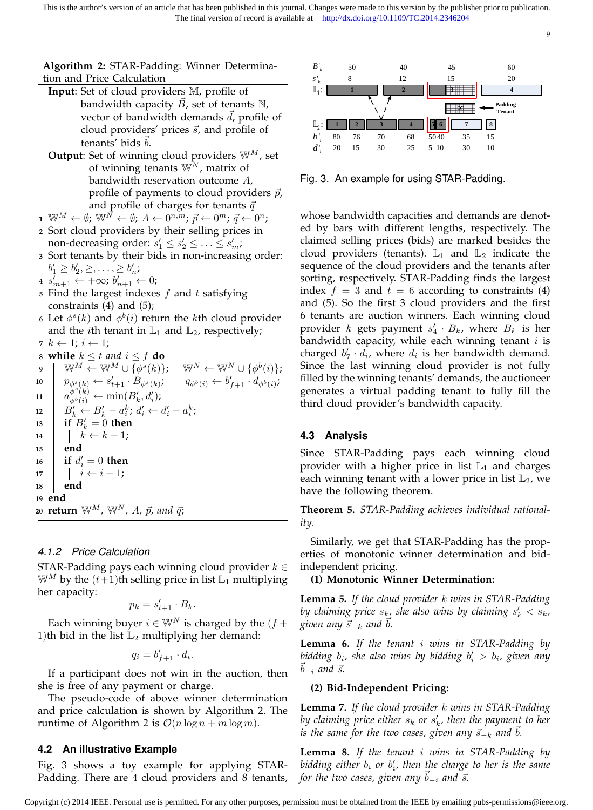# **Algorithm 2:** STAR-Padding: Winner Determination and Price Calculation

- **Input**: Set of cloud providers M, profile of bandwidth capacity  $B$ , set of tenants  $\mathbb N$ , vector of bandwidth demands  $d$ , profile of cloud providers' prices  $\vec{s}$ , and profile of tenants' bids  $b$ .
- **Output:** Set of winning cloud providers  $\mathbb{W}^{M}$ , set of winning tenants  $\mathbb{W}^N$ , matrix of bandwidth reservation outcome A, profile of payments to cloud providers  $\vec{p}$ , and profile of charges for tenants  $\vec{q}$
- $\mathbf{1} \ \ \mathbb{W}^M \leftarrow \emptyset; \ \mathbb{W}^{\tilde{N}} \leftarrow \emptyset; \, A \leftarrow 0^{n,m}; \, \vec{p} \leftarrow 0^m; \, \vec{q} \leftarrow 0^n;$
- **2** Sort cloud providers by their selling prices in non-decreasing order:  $s_1' \leq s_2' \leq \ldots \leq s_m'$ ;
- **3** Sort tenants by their bids in non-increasing order:  $b'_1 \geq b'_2, \geq, \ldots, \geq b'_n;$
- **4**  $s'_{m+1}$  ←  $+\infty$ ;  $b'_{n+1}$  ← 0;
- **<sup>5</sup>** Find the largest indexes f and t satisfying constraints (4) and (5);
- **6** Let  $\phi^s(k)$  and  $\phi^b(i)$  return the *k*th cloud provider and the *i*th tenant in  $\mathbb{L}_1$  and  $\mathbb{L}_2$ , respectively;
- 7  $k \leftarrow 1; i \leftarrow 1;$
- **8 while**  $k \leq t$  *and*  $i \leq f$  **do**  $\mathbf{y} \quad | \quad \mathbb{W}^M \leftarrow \mathbb{W}^M \cup \{ \phi^s(k) \}; \quad \mathbb{W}^N \leftarrow \mathbb{W}^N \cup \{ \phi^b(i) \};$ **10**  $p_{\phi^s(k)} \leftarrow s'_{t+1} \cdot B_{\phi^s(k)}$  $; \qquad q_{\phi^b(i)} \leftarrow b'_{f+1} \cdot d_{\phi^b(i)};$  $\begin{array}{ll} \texttt{11} & a_{\phi^b(k)}^{\phi^s(k)} \leftarrow \min(B'_k,d'_i), \end{array}$  $\begin{array}{ll} \textbf{12} & B'_k \leftarrow B'_k - a_i^k;\, d'_i \leftarrow d'_i - a_i^k; \end{array}$  $\mathbf{13}$  **if**  $B'_k = 0$  **then**  $14$   $\vert k \leftarrow k + 1;$ **<sup>15</sup> end**  $\mathbf{16}$  **if**  $d_i' = 0$  **then** 17  $\vert \vert i \leftarrow i + 1;$ **<sup>18</sup> end <sup>19</sup> end 20 return**  $\mathbb{W}^M$ ,  $\mathbb{W}^N$ , A,  $\vec{p}$ , and  $\vec{q}$ ;

# *4.1.2 Price Calculation*

STAR-Padding pays each winning cloud provider  $k \in$  $\mathbb{W}^M$  by the  $(t+1)$ th selling price in list  $\mathbb{L}_1$  multiplying her capacity:

$$
p_k = s'_{t+1} \cdot B_k.
$$

Each winning buyer  $i \in \mathbb{W}^N$  is charged by the  $(f +$ 1)th bid in the list  $\mathbb{L}_2$  multiplying her demand:

$$
q_i = b'_{f+1} \cdot d_i.
$$

If a participant does not win in the auction, then she is free of any payment or charge.

The pseudo-code of above winner determination and price calculation is shown by Algorithm 2. The runtime of Algorithm 2 is  $\mathcal{O}(n \log n + m \log m)$ .

## **4.2 An illustrative Example**

Fig. 3 shows a toy example for applying STAR-Padding. There are 4 cloud providers and 8 tenants,



9

Fig. 3. An example for using STAR-Padding.

whose bandwidth capacities and demands are denoted by bars with different lengths, respectively. The claimed selling prices (bids) are marked besides the cloud providers (tenants).  $\mathbb{L}_1$  and  $\mathbb{L}_2$  indicate the sequence of the cloud providers and the tenants after sorting, respectively. STAR-Padding finds the largest index  $f = 3$  and  $t = 6$  according to constraints (4) and (5). So the first 3 cloud providers and the first 6 tenants are auction winners. Each winning cloud provider k gets payment  $s'_4 \cdot B_k$ , where  $B_k$  is her bandwidth capacity, while each winning tenant  $i$  is charged  $b'_7 \cdot d_i$ , where  $d_i$  is her bandwidth demand. Since the last winning cloud provider is not fully filled by the winning tenants' demands, the auctioneer generates a virtual padding tenant to fully fill the third cloud provider's bandwidth capacity.

# **4.3 Analysis**

Since STAR-Padding pays each winning cloud provider with a higher price in list  $\mathbb{L}_1$  and charges each winning tenant with a lower price in list  $\mathbb{L}_2$ , we have the following theorem.

**Theorem 5.** *STAR-Padding achieves individual rationality.*

Similarly, we get that STAR-Padding has the properties of monotonic winner determination and bidindependent pricing.

## **(1) Monotonic Winner Determination:**

**Lemma 5.** *If the cloud provider* k *wins in STAR-Padding* by claiming price  $s_k$ , she also wins by claiming  $s'_k < s_k$ , *given any*  $\vec{s}_{-k}$  *and b.* 

**Lemma 6.** *If the tenant* i *wins in STAR-Padding by* bidding  $b_i$ , she also wins by bidding  $b'_i > b_i$ , given any  $b_{-i}$  and  $\vec{s}$ .

## **(2) Bid-Independent Pricing:**

**Lemma 7.** *If the cloud provider* k *wins in STAR-Padding* by claiming price either  $s_k$  or  $s'_k$ , then the payment to her *is the same for the two cases, given any*  $\vec{s}_{-k}$  *and*  $\vec{b}$ *.* 

**Lemma 8.** *If the tenant* i *wins in STAR-Padding by* bidding either  $b_i$  or  $b'_i$ , then the charge to her is the same *for the two cases, given any*  $\bar{b}_{-i}$  *and*  $\vec{s}$ *.*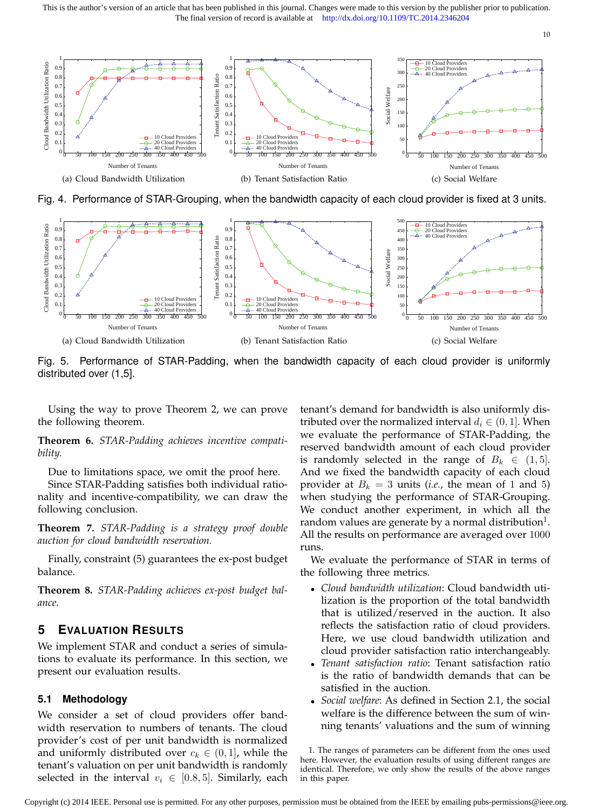This is the author's version of an article that has been published in this journal. Changes were made to this version by the publisher prior to publication. The final version of record is available at http://dx.doi.org/10.1109/TC.2014.2346204



Fig. 4. Performance of STAR-Grouping, when the bandwidth capacity of each cloud provider is fixed at 3 units.



Fig. 5. Performance of STAR-Padding, when the bandwidth capacity of each cloud provider is uniformly distributed over (1,5].

Using the way to prove Theorem 2, we can prove the following theorem.

**Theorem 6.** *STAR-Padding achieves incentive compatibility.*

Due to limitations space, we omit the proof here.

Since STAR-Padding satisfies both individual rationality and incentive-compatibility, we can draw the following conclusion.

**Theorem 7.** *STAR-Padding is a strategy proof double auction for cloud bandwidth reservation.*

Finally, constraint (5) guarantees the ex-post budget balance.

**Theorem 8.** *STAR-Padding achieves ex-post budget balance.*

## **5 EVALUATION RESULTS**

We implement STAR and conduct a series of simulations to evaluate its performance. In this section, we present our evaluation results.

#### **5.1 Methodology**

We consider a set of cloud providers offer bandwidth reservation to numbers of tenants. The cloud provider's cost of per unit bandwidth is normalized and uniformly distributed over  $c_k \in (0,1]$ , while the tenant's valuation on per unit bandwidth is randomly selected in the interval  $v_i \in [0.8, 5]$ . Similarly, each tenant's demand for bandwidth is also uniformly distributed over the normalized interval  $d_i \in (0, 1]$ . When we evaluate the performance of STAR-Padding, the reserved bandwidth amount of each cloud provider is randomly selected in the range of  $B_k \in (1, 5]$ . And we fixed the bandwidth capacity of each cloud provider at  $B_k = 3$  units (*i.e.*, the mean of 1 and 5) when studying the performance of STAR-Grouping. We conduct another experiment, in which all the random values are generate by a normal distribution $^{\rm 1}.$ All the results on performance are averaged over 1000 runs.

We evaluate the performance of STAR in terms of the following three metrics.

- *Cloud bandwidth utilization*: Cloud bandwidth utilization is the proportion of the total bandwidth that is utilized/reserved in the auction. It also reflects the satisfaction ratio of cloud providers. Here, we use cloud bandwidth utilization and cloud provider satisfaction ratio interchangeably.
- *Tenant satisfaction ratio*: Tenant satisfaction ratio is the ratio of bandwidth demands that can be satisfied in the auction.
- *Social welfare*: As defined in Section 2.1, the social welfare is the difference between the sum of winning tenants' valuations and the sum of winning

1. The ranges of parameters can be different from the ones used here. However, the evaluation results of using different ranges are identical. Therefore, we only show the results of the above ranges in this paper.

10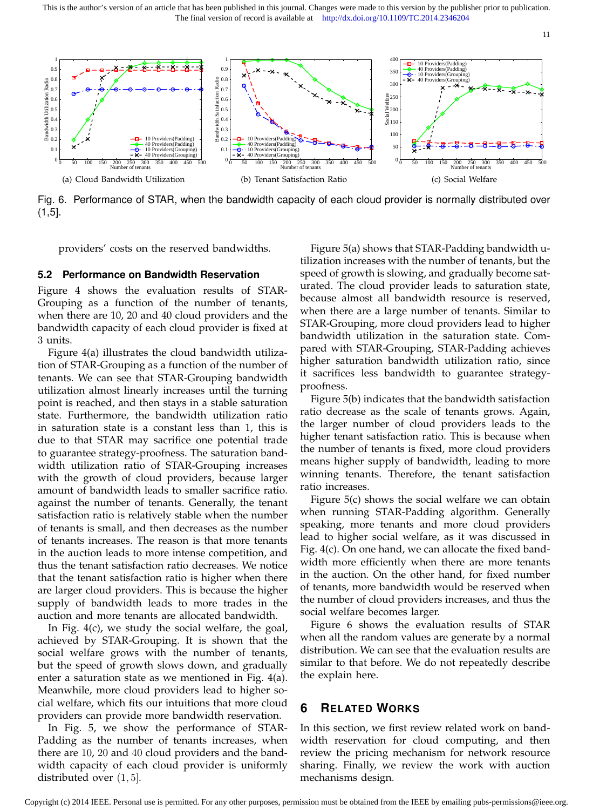This is the author's version of an article that has been published in this journal. Changes were made to this version by the publisher prior to publication. The final version of record is available at http://dx.doi.org/10.1109/TC.2014.2346204



Fig. 6. Performance of STAR, when the bandwidth capacity of each cloud provider is normally distributed over (1,5].

providers' costs on the reserved bandwidths.

#### **5.2 Performance on Bandwidth Reservation**

Figure 4 shows the evaluation results of STAR-Grouping as a function of the number of tenants, when there are 10, 20 and 40 cloud providers and the bandwidth capacity of each cloud provider is fixed at 3 units.

Figure 4(a) illustrates the cloud bandwidth utilization of STAR-Grouping as a function of the number of tenants. We can see that STAR-Grouping bandwidth utilization almost linearly increases until the turning point is reached, and then stays in a stable saturation state. Furthermore, the bandwidth utilization ratio in saturation state is a constant less than 1, this is due to that STAR may sacrifice one potential trade to guarantee strategy-proofness. The saturation bandwidth utilization ratio of STAR-Grouping increases with the growth of cloud providers, because larger amount of bandwidth leads to smaller sacrifice ratio. against the number of tenants. Generally, the tenant satisfaction ratio is relatively stable when the number of tenants is small, and then decreases as the number of tenants increases. The reason is that more tenants in the auction leads to more intense competition, and thus the tenant satisfaction ratio decreases. We notice that the tenant satisfaction ratio is higher when there are larger cloud providers. This is because the higher supply of bandwidth leads to more trades in the auction and more tenants are allocated bandwidth.

In Fig. 4(c), we study the social welfare, the goal, achieved by STAR-Grouping. It is shown that the social welfare grows with the number of tenants, but the speed of growth slows down, and gradually enter a saturation state as we mentioned in Fig. 4(a). Meanwhile, more cloud providers lead to higher social welfare, which fits our intuitions that more cloud providers can provide more bandwidth reservation.

In Fig. 5, we show the performance of STAR-Padding as the number of tenants increases, when there are 10, 20 and 40 cloud providers and the bandwidth capacity of each cloud provider is uniformly distributed over (1, 5].

Figure 5(a) shows that STAR-Padding bandwidth utilization increases with the number of tenants, but the speed of growth is slowing, and gradually become saturated. The cloud provider leads to saturation state, because almost all bandwidth resource is reserved, when there are a large number of tenants. Similar to STAR-Grouping, more cloud providers lead to higher bandwidth utilization in the saturation state. Compared with STAR-Grouping, STAR-Padding achieves higher saturation bandwidth utilization ratio, since it sacrifices less bandwidth to guarantee strategyproofness.

Figure 5(b) indicates that the bandwidth satisfaction ratio decrease as the scale of tenants grows. Again, the larger number of cloud providers leads to the higher tenant satisfaction ratio. This is because when the number of tenants is fixed, more cloud providers means higher supply of bandwidth, leading to more winning tenants. Therefore, the tenant satisfaction ratio increases.

Figure 5(c) shows the social welfare we can obtain when running STAR-Padding algorithm. Generally speaking, more tenants and more cloud providers lead to higher social welfare, as it was discussed in Fig. 4(c). On one hand, we can allocate the fixed bandwidth more efficiently when there are more tenants in the auction. On the other hand, for fixed number of tenants, more bandwidth would be reserved when the number of cloud providers increases, and thus the social welfare becomes larger.

Figure 6 shows the evaluation results of STAR when all the random values are generate by a normal distribution. We can see that the evaluation results are similar to that before. We do not repeatedly describe the explain here.

# **6 RELATED WORKS**

In this section, we first review related work on bandwidth reservation for cloud computing, and then review the pricing mechanism for network resource sharing. Finally, we review the work with auction mechanisms design.

11

Copyright (c) 2014 IEEE. Personal use is permitted. For any other purposes, permission must be obtained from the IEEE by emailing pubs-permissions@ieee.org.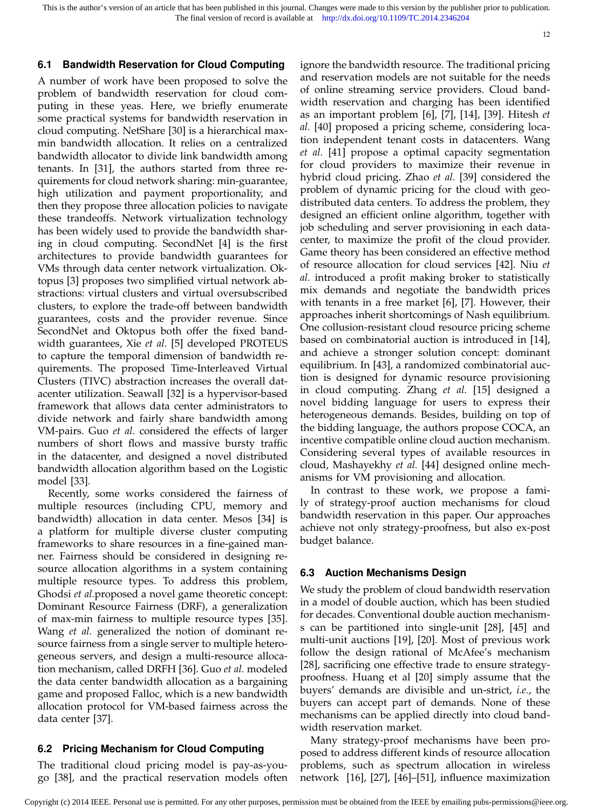This is the author's version of an article that has been published in this journal. Changes were made to this version by the publisher prior to publication. The final version of record is available at http://dx.doi.org/10.1109/TC.2014.2346204

12

# **6.1 Bandwidth Reservation for Cloud Computing**

A number of work have been proposed to solve the problem of bandwidth reservation for cloud computing in these yeas. Here, we briefly enumerate some practical systems for bandwidth reservation in cloud computing. NetShare [30] is a hierarchical maxmin bandwidth allocation. It relies on a centralized bandwidth allocator to divide link bandwidth among tenants. In [31], the authors started from three requirements for cloud network sharing: min-guarantee, high utilization and payment proportionality, and then they propose three allocation policies to navigate these trandeoffs. Network virtualization technology has been widely used to provide the bandwidth sharing in cloud computing. SecondNet [4] is the first architectures to provide bandwidth guarantees for VMs through data center network virtualization. Oktopus [3] proposes two simplified virtual network abstractions: virtual clusters and virtual oversubscribed clusters, to explore the trade-off between bandwidth guarantees, costs and the provider revenue. Since SecondNet and Oktopus both offer the fixed bandwidth guarantees, Xie *et al.* [5] developed PROTEUS to capture the temporal dimension of bandwidth requirements. The proposed Time-Interleaved Virtual Clusters (TIVC) abstraction increases the overall datacenter utilization. Seawall [32] is a hypervisor-based framework that allows data center administrators to divide network and fairly share bandwidth among VM-pairs. Guo *et al.* considered the effects of larger numbers of short flows and massive bursty traffic in the datacenter, and designed a novel distributed bandwidth allocation algorithm based on the Logistic model [33].

Recently, some works considered the fairness of multiple resources (including CPU, memory and bandwidth) allocation in data center. Mesos [34] is a platform for multiple diverse cluster computing frameworks to share resources in a fine-gained manner. Fairness should be considered in designing resource allocation algorithms in a system containing multiple resource types. To address this problem, Ghodsi *et al.*proposed a novel game theoretic concept: Dominant Resource Fairness (DRF), a generalization of max-min fairness to multiple resource types [35]. Wang *et al.* generalized the notion of dominant resource fairness from a single server to multiple heterogeneous servers, and design a multi-resource allocation mechanism, called DRFH [36]. Guo *et al.* modeled the data center bandwidth allocation as a bargaining game and proposed Falloc, which is a new bandwidth allocation protocol for VM-based fairness across the data center [37].

# **6.2 Pricing Mechanism for Cloud Computing**

The traditional cloud pricing model is pay-as-yougo [38], and the practical reservation models often

ignore the bandwidth resource. The traditional pricing and reservation models are not suitable for the needs of online streaming service providers. Cloud bandwidth reservation and charging has been identified as an important problem [6], [7], [14], [39]. Hitesh *et al.* [40] proposed a pricing scheme, considering location independent tenant costs in datacenters. Wang *et al.* [41] propose a optimal capacity segmentation for cloud providers to maximize their revenue in hybrid cloud pricing. Zhao *et al.* [39] considered the problem of dynamic pricing for the cloud with geodistributed data centers. To address the problem, they designed an efficient online algorithm, together with job scheduling and server provisioning in each datacenter, to maximize the profit of the cloud provider. Game theory has been considered an effective method of resource allocation for cloud services [42]. Niu *et al.* introduced a profit making broker to statistically mix demands and negotiate the bandwidth prices with tenants in a free market [6], [7]. However, their approaches inherit shortcomings of Nash equilibrium. One collusion-resistant cloud resource pricing scheme based on combinatorial auction is introduced in [14], and achieve a stronger solution concept: dominant equilibrium. In [43], a randomized combinatorial auction is designed for dynamic resource provisioning in cloud computing. Zhang *et al.* [15] designed a novel bidding language for users to express their heterogeneous demands. Besides, building on top of the bidding language, the authors propose COCA, an incentive compatible online cloud auction mechanism. Considering several types of available resources in cloud, Mashayekhy *et al.* [44] designed online mechanisms for VM provisioning and allocation.

In contrast to these work, we propose a family of strategy-proof auction mechanisms for cloud bandwidth reservation in this paper. Our approaches achieve not only strategy-proofness, but also ex-post budget balance.

#### **6.3 Auction Mechanisms Design**

We study the problem of cloud bandwidth reservation in a model of double auction, which has been studied for decades. Conventional double auction mechanisms can be partitioned into single-unit [28], [45] and multi-unit auctions [19], [20]. Most of previous work follow the design rational of McAfee's mechanism [28], sacrificing one effective trade to ensure strategyproofness. Huang et al [20] simply assume that the buyers' demands are divisible and un-strict, *i.e.*, the buyers can accept part of demands. None of these mechanisms can be applied directly into cloud bandwidth reservation market.

Many strategy-proof mechanisms have been proposed to address different kinds of resource allocation problems, such as spectrum allocation in wireless network [16], [27], [46]–[51], influence maximization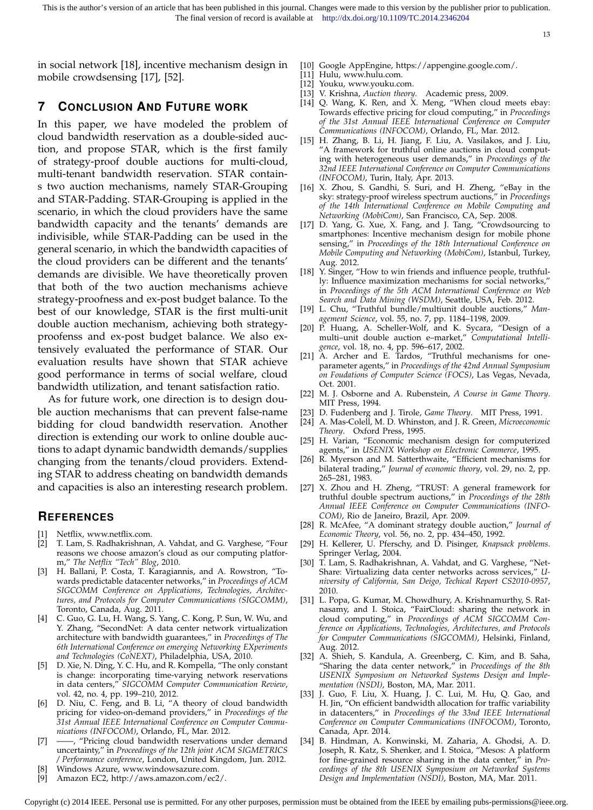in social network [18], incentive mechanism design in mobile crowdsensing [17], [52].

- [10] Google AppEngine, https://appengine.google.com/.
- [11] Hulu, www.hulu.com.
- [12] Youku, www.youku.com.
- [13] V. Krishna, *Auction theory*. Academic press, 2009.
- [14] Q. Wang, K. Ren, and X. Meng, "When cloud meets ebay: Towards effective pricing for cloud computing," in *Proceedings of the 31st Annual IEEE International Conference on Computer Communications (INFOCOM)*, Orlando, FL, Mar. 2012.
- [15] H. Zhang, B. Li, H. Jiang, F. Liu, A. Vasilakos, and J. Liu, "A framework for truthful online auctions in cloud computing with heterogeneous user demands," in *Proceedings of the 32nd IEEE International Conference on Computer Communications (INFOCOM)*, Turin, Italy, Apr. 2013.
- [16] X. Zhou, S. Gandhi, S. Suri, and H. Zheng, "eBay in the sky: strategy-proof wireless spectrum auctions," in *Proceedings of the 14th International Conference on Mobile Computing and Networking (MobiCom)*, San Francisco, CA, Sep. 2008.
- [17] D. Yang, G. Xue, X. Fang, and J. Tang, "Crowdsourcing to smartphones: Incentive mechanism design for mobile phone sensing," in *Proceedings of the 18th International Conference on Mobile Computing and Networking (MobiCom)*, Istanbul, Turkey, Aug. 2012.
- [18] Y. Singer, "How to win friends and influence people, truthfully: Influence maximization mechanisms for social networks," in *Proceedings of the 5th ACM International Conference on Web Search and Data Mining (WSDM)*, Seattle, USA, Feb. 2012.
- [19] L. Chu, "Truthful bundle/multiunit double auctions," *Management Science*, vol. 55, no. 7, pp. 1184–1198, 2009.
- [20] P. Huang, A. Scheller-Wolf, and K. Sycara, "Design of a multi–unit double auction e–market," *Computational Intelligence*, vol. 18, no. 4, pp. 596–617, 2002.
- [21] A. Archer and E. Tardos, "Truthful mechanisms for oneparameter agents," in *Proceedings of the 42nd Annual Symposium on Foudations of Computer Science (FOCS)*, Las Vegas, Nevada, Oct. 2001.
- [22] M. J. Osborne and A. Rubenstein, *A Course in Game Theory*. MIT Press, 1994.
- [23] D. Fudenberg and J. Tirole, *Game Theory*. MIT Press, 1991.
- [24] A. Mas-Colell, M. D. Whinston, and J. R. Green, *Microeconomic Theory*. Oxford Press, 1995.
- [25] H. Varian, "Economic mechanism design for computerized agents," in *USENIX Workshop on Electronic Commerce*, 1995.
- [26] R. Myerson and M. Satterthwaite, "Efficient mechanisms for bilateral trading," *Journal of economic theory*, vol. 29, no. 2, pp. 265–281, 1983.
- [27] X. Zhou and H. Zheng, "TRUST: A general framework for truthful double spectrum auctions," in *Proceedings of the 28th Annual IEEE Conference on Computer Communications (INFO-COM)*, Rio de Janeiro, Brazil, Apr. 2009.
- [28] R. McAfee, "A dominant strategy double auction," *Journal of Economic Theory*, vol. 56, no. 2, pp. 434–450, 1992.
- [29] H. Kellerer, U. Pferschy, and D. Pisinger, *Knapsack problems*. Springer Verlag, 2004.
- [30] T. Lam, S. Radhakrishnan, A. Vahdat, and G. Varghese, "Net-Share: Virtualizing data center networks across services, *niversity of California, San Deigo, Techical Report CS2010-0957*, 2010.
- [31] L. Popa, G. Kumar, M. Chowdhury, A. Krishnamurthy, S. Ratnasamy, and I. Stoica, "FairCloud: sharing the network in cloud computing," in *Proceedings of ACM SIGCOMM Conference on Applications, Technologies, Architectures, and Protocols for Computer Communications (SIGCOMM)*, Helsinki, Finland, Aug. 2012.
- [32] A. Shieh, S. Kandula, A. Greenberg, C. Kim, and B. Saha, "Sharing the data center network," in *Proceedings of the 8th USENIX Symposium on Networked Systems Design and Implementation (NSDI)*, Boston, MA, Mar. 2011.
- [33] J. Guo, F. Liu, X. Huang, J. C. Lui, M. Hu, Q. Gao, and H. Jin, "On efficient bandwidth allocation for traffic variability in datacenters," in *Proceedings of the 33nd IEEE International Conference on Computer Communications (INFOCOM)*, Toronto, Canada, Apr. 2014.
- [34] B. Hindman, A. Konwinski, M. Zaharia, A. Ghodsi, A. D. Joseph, R. Katz, S. Shenker, and I. Stoica, "Mesos: A platform for fine-grained resource sharing in the data center," in *Proceedings of the 8th USENIX Symposium on Networked Systems Design and Implementation (NSDI)*, Boston, MA, Mar. 2011.

# **7 CONCLUSION AND FUTURE WORK**

In this paper, we have modeled the problem of cloud bandwidth reservation as a double-sided auction, and propose STAR, which is the first family of strategy-proof double auctions for multi-cloud, multi-tenant bandwidth reservation. STAR contains two auction mechanisms, namely STAR-Grouping and STAR-Padding. STAR-Grouping is applied in the scenario, in which the cloud providers have the same bandwidth capacity and the tenants' demands are indivisible, while STAR-Padding can be used in the general scenario, in which the bandwidth capacities of the cloud providers can be different and the tenants' demands are divisible. We have theoretically proven that both of the two auction mechanisms achieve strategy-proofness and ex-post budget balance. To the best of our knowledge, STAR is the first multi-unit double auction mechanism, achieving both strategyproofenss and ex-post budget balance. We also extensively evaluated the performance of STAR. Our evaluation results have shown that STAR achieve good performance in terms of social welfare, cloud bandwidth utilization, and tenant satisfaction ratio.

As for future work, one direction is to design double auction mechanisms that can prevent false-name bidding for cloud bandwidth reservation. Another direction is extending our work to online double auctions to adapt dynamic bandwidth demands/supplies changing from the tenants/cloud providers. Extending STAR to address cheating on bandwidth demands and capacities is also an interesting research problem.

# **REFERENCES**

- [1] Netflix, www.netflix.com.<br>[2] T. Lam, S. Radhakrishnan
- [2] T. Lam, S. Radhakrishnan, A. Vahdat, and G. Varghese, "Four reasons we choose amazon's cloud as our computing platform," *The Netflix "Tech" Blog*, 2010.
- [3] H. Ballani, P. Costa, T. Karagiannis, and A. Rowstron, "Towards predictable datacenter networks," in *Proceedings of ACM SIGCOMM Conference on Applications, Technologies, Architectures, and Protocols for Computer Communications (SIGCOMM)*, Toronto, Canada, Aug. 2011.
- [4] C. Guo, G. Lu, H. Wang, S. Yang, C. Kong, P. Sun, W. Wu, and Y. Zhang, "SecondNet: A data center network virtualization architecture with bandwidth guarantees," in *Proceedings of The 6th International Conference on emerging Networking EXperiments and Technologies (CoNEXT)*, Philadelphia, USA, 2010.
- D. Xie, N. Ding, Y. C. Hu, and R. Kompella, "The only constant is change: incorporating time-varying network reservations in data centers," *SIGCOMM Computer Communication Review*, vol. 42, no. 4, pp. 199–210, 2012.
- [6] D. Niu, C. Feng, and B. Li, "A theory of cloud bandwidth pricing for video-on-demand providers," in *Proceedings of the 31st Annual IEEE International Conference on Computer Communications (INFOCOM)*, Orlando, FL, Mar. 2012.
- [7] ——, "Pricing cloud bandwidth reservations under demand uncertainty," in *Proceedings of the 12th joint ACM SIGMETRICS / Performance conference*, London, United Kingdom, Jun. 2012.
- Windows Azure, www.windowsazure.com.
- [9] Amazon EC2, http://aws.amazon.com/ec2/.